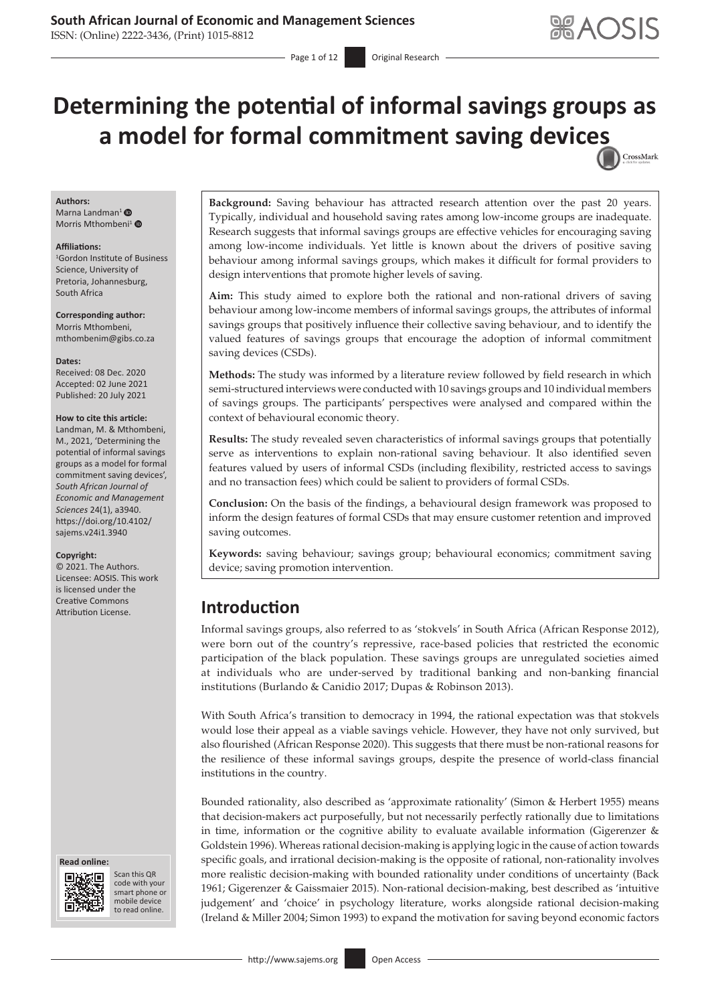## **South African Journal of Economic and Management Sciences**

ISSN: (Online) 2222-3436, (Print) 1015-8812

# **Determining the potential of informal savings groups as a model for formal commitment saving devic[es](http://crossmark.crossref.org/dialog/?doi=10.4102/sajems.v24i1.3940=pdf&date_stamp=2021-07-20)** CrossMark

**Authors:** Marna Landman<sup>[1](http://orcid.org/0000-0002-4259-4455)</sup> <sup>O</sup>

Morris Mthombeni<sup>[1](http://orcid.org/0000-0002-6103-8550)</sup>

### **Affiliations:**

1 Gordon Institute of Business Science, University of Pretoria, Johannesburg, South Africa

**Corresponding author:** Morris Mthombeni, [mthombenim@gibs.co.za](mailto:mthombenim@gibs.co.za)

#### **Dates:**

Received: 08 Dec. 2020 Accepted: 02 June 2021 Published: 20 July 2021

#### **How to cite this article:**

Landman, M. & Mthombeni, M., 2021, 'Determining the potential of informal savings groups as a model for formal commitment saving devices', *South African Journal of Economic and Management Sciences* 24(1), a3940. [https://doi.org/10.4102/](https://doi.org/10.4102/sajems.v24i1.3940) [sajems.v24i1.3940](https://doi.org/10.4102/sajems.v24i1.3940)

#### **Copyright:**

© 2021. The Authors. Licensee: AOSIS. This work is licensed under the Creative Commons Attribution License. **Introduction**





Scan this QR Scan this QR code with your smart phone or code with your smart phone or mobile device mobile device to read online. to read online.

**Background:** Saving behaviour has attracted research attention over the past 20 years. Typically, individual and household saving rates among low-income groups are inadequate. Research suggests that informal savings groups are effective vehicles for encouraging saving among low-income individuals. Yet little is known about the drivers of positive saving behaviour among informal savings groups, which makes it difficult for formal providers to design interventions that promote higher levels of saving.

**Aim:** This study aimed to explore both the rational and non-rational drivers of saving behaviour among low-income members of informal savings groups, the attributes of informal savings groups that positively influence their collective saving behaviour, and to identify the valued features of savings groups that encourage the adoption of informal commitment saving devices (CSDs).

**Methods:** The study was informed by a literature review followed by field research in which semi-structured interviews were conducted with 10 savings groups and 10 individual members of savings groups. The participants' perspectives were analysed and compared within the context of behavioural economic theory.

**Results:** The study revealed seven characteristics of informal savings groups that potentially serve as interventions to explain non-rational saving behaviour. It also identified seven features valued by users of informal CSDs (including flexibility, restricted access to savings and no transaction fees) which could be salient to providers of formal CSDs.

**Conclusion:** On the basis of the findings, a behavioural design framework was proposed to inform the design features of formal CSDs that may ensure customer retention and improved saving outcomes.

**Keywords:** saving behaviour; savings group; behavioural economics; commitment saving device; saving promotion intervention.

Informal savings groups, also referred to as 'stokvels' in South Africa (African Response 2012), were born out of the country's repressive, race-based policies that restricted the economic participation of the black population. These savings groups are unregulated societies aimed at individuals who are under-served by traditional banking and non-banking financial institutions (Burlando & Canidio 2017; Dupas & Robinson 2013).

With South Africa's transition to democracy in 1994, the rational expectation was that stokvels would lose their appeal as a viable savings vehicle. However, they have not only survived, but also flourished (African Response 2020). This suggests that there must be non-rational reasons for the resilience of these informal savings groups, despite the presence of world-class financial institutions in the country.

Bounded rationality, also described as 'approximate rationality' (Simon & Herbert 1955) means that decision-makers act purposefully, but not necessarily perfectly rationally due to limitations in time, information or the cognitive ability to evaluate available information (Gigerenzer & Goldstein 1996). Whereas rational decision-making is applying logic in the cause of action towards specific goals, and irrational decision-making is the opposite of rational, non-rationality involves more realistic decision-making with bounded rationality under conditions of uncertainty (Back 1961; Gigerenzer & Gaissmaier 2015). Non-rational decision-making, best described as 'intuitive judgement' and 'choice' in psychology literature, works alongside rational decision-making (Ireland & Miller 2004; Simon 1993) to expand the motivation for saving beyond economic factors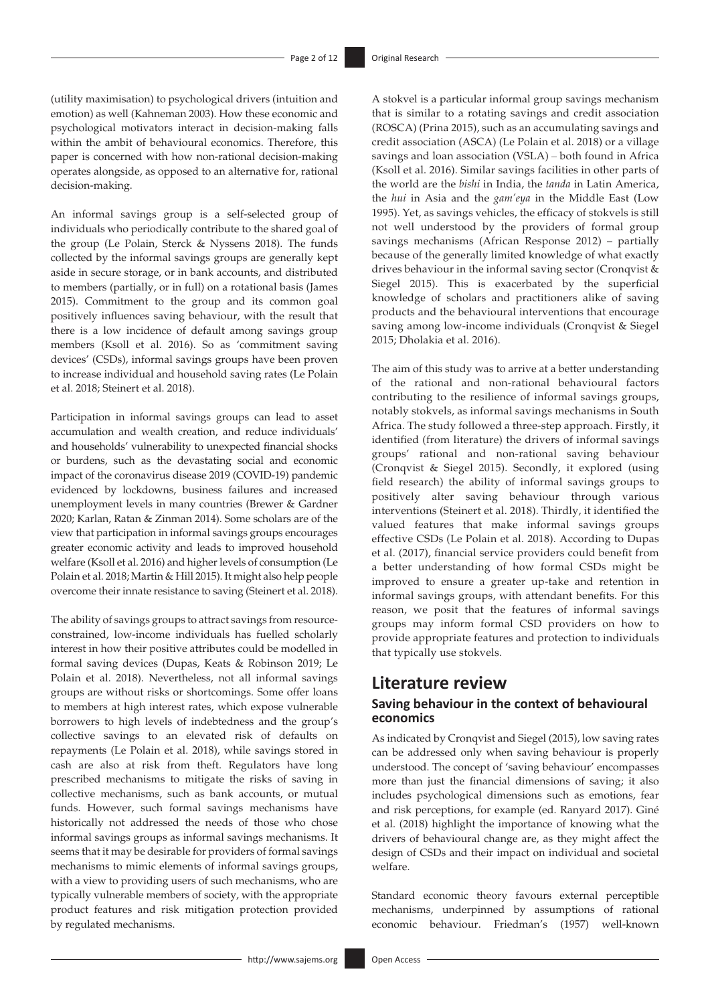(utility maximisation) to psychological drivers (intuition and emotion) as well (Kahneman 2003). How these economic and psychological motivators interact in decision-making falls within the ambit of behavioural economics. Therefore, this paper is concerned with how non-rational decision-making operates alongside, as opposed to an alternative for, rational decision-making.

An informal savings group is a self-selected group of individuals who periodically contribute to the shared goal of the group (Le Polain, Sterck & Nyssens 2018). The funds collected by the informal savings groups are generally kept aside in secure storage, or in bank accounts, and distributed to members (partially, or in full) on a rotational basis (James 2015). Commitment to the group and its common goal positively influences saving behaviour, with the result that there is a low incidence of default among savings group members (Ksoll et al. 2016). So as 'commitment saving devices' (CSDs), informal savings groups have been proven to increase individual and household saving rates (Le Polain et al. 2018; Steinert et al. 2018).

Participation in informal savings groups can lead to asset accumulation and wealth creation, and reduce individuals' and households' vulnerability to unexpected financial shocks or burdens, such as the devastating social and economic impact of the coronavirus disease 2019 (COVID-19) pandemic evidenced by lockdowns, business failures and increased unemployment levels in many countries (Brewer & Gardner 2020; Karlan, Ratan & Zinman 2014). Some scholars are of the view that participation in informal savings groups encourages greater economic activity and leads to improved household welfare (Ksoll et al. 2016) and higher levels of consumption (Le Polain et al. 2018; Martin & Hill 2015). It might also help people overcome their innate resistance to saving (Steinert et al. 2018).

The ability of savings groups to attract savings from resourceconstrained, low-income individuals has fuelled scholarly interest in how their positive attributes could be modelled in formal saving devices (Dupas, Keats & Robinson 2019; Le Polain et al. 2018). Nevertheless, not all informal savings groups are without risks or shortcomings. Some offer loans to members at high interest rates, which expose vulnerable borrowers to high levels of indebtedness and the group's collective savings to an elevated risk of defaults on repayments (Le Polain et al. 2018), while savings stored in cash are also at risk from theft. Regulators have long prescribed mechanisms to mitigate the risks of saving in collective mechanisms, such as bank accounts, or mutual funds. However, such formal savings mechanisms have historically not addressed the needs of those who chose informal savings groups as informal savings mechanisms. It seems that it may be desirable for providers of formal savings mechanisms to mimic elements of informal savings groups, with a view to providing users of such mechanisms, who are typically vulnerable members of society, with the appropriate product features and risk mitigation protection provided by regulated mechanisms.

A stokvel is a particular informal group savings mechanism that is similar to a rotating savings and credit association (ROSCA) (Prina 2015), such as an accumulating savings and credit association (ASCA) (Le Polain et al. 2018) or a village savings and loan association (VSLA) – both found in Africa (Ksoll et al. 2016). Similar savings facilities in other parts of the world are the *bishi* in India, the *tanda* in Latin America, the *hui* in Asia and the *gam'eya* in the Middle East (Low 1995). Yet, as savings vehicles, the efficacy of stokvels is still not well understood by the providers of formal group savings mechanisms (African Response 2012) – partially because of the generally limited knowledge of what exactly drives behaviour in the informal saving sector (Cronqvist & Siegel 2015). This is exacerbated by the superficial knowledge of scholars and practitioners alike of saving products and the behavioural interventions that encourage saving among low-income individuals (Cronqvist & Siegel 2015; Dholakia et al. 2016).

The aim of this study was to arrive at a better understanding of the rational and non-rational behavioural factors contributing to the resilience of informal savings groups, notably stokvels, as informal savings mechanisms in South Africa. The study followed a three-step approach. Firstly, it identified (from literature) the drivers of informal savings groups' rational and non-rational saving behaviour (Cronqvist & Siegel 2015). Secondly, it explored (using field research) the ability of informal savings groups to positively alter saving behaviour through various interventions (Steinert et al. 2018). Thirdly, it identified the valued features that make informal savings groups effective CSDs (Le Polain et al. 2018). According to Dupas et al. (2017), financial service providers could benefit from a better understanding of how formal CSDs might be improved to ensure a greater up-take and retention in informal savings groups, with attendant benefits. For this reason, we posit that the features of informal savings groups may inform formal CSD providers on how to provide appropriate features and protection to individuals that typically use stokvels.

### **Literature review**

### **Saving behaviour in the context of behavioural economics**

As indicated by Cronqvist and Siegel (2015), low saving rates can be addressed only when saving behaviour is properly understood. The concept of 'saving behaviour' encompasses more than just the financial dimensions of saving; it also includes psychological dimensions such as emotions, fear and risk perceptions, for example (ed. Ranyard 2017). Giné et al. (2018) highlight the importance of knowing what the drivers of behavioural change are, as they might affect the design of CSDs and their impact on individual and societal welfare.

Standard economic theory favours external perceptible mechanisms, underpinned by assumptions of rational economic behaviour. Friedman's (1957) well-known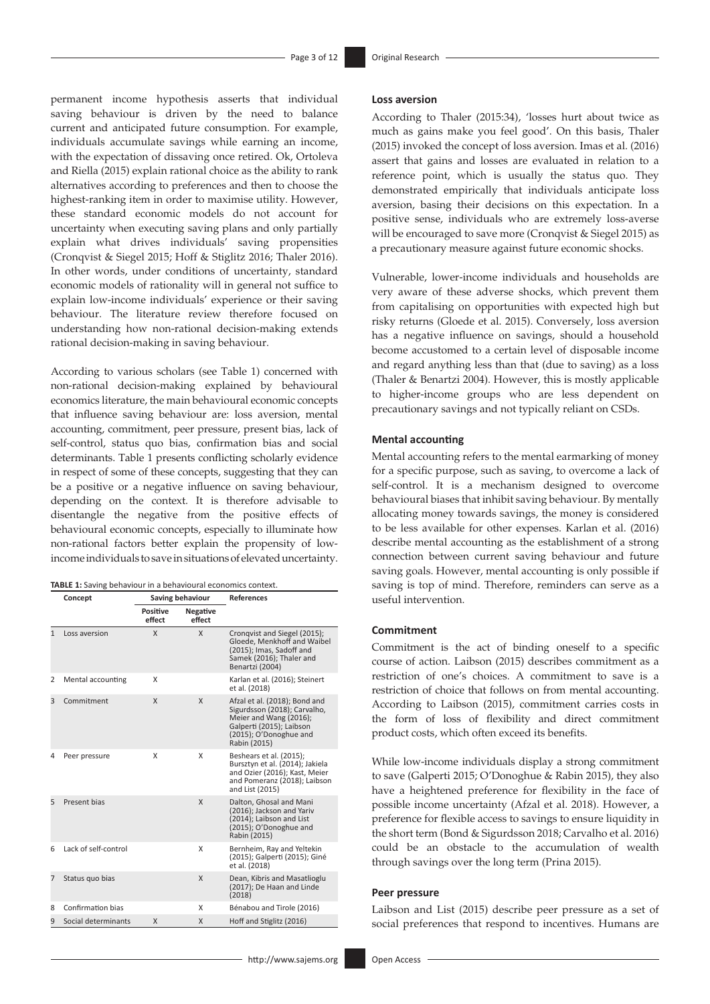permanent income hypothesis asserts that individual saving behaviour is driven by the need to balance current and anticipated future consumption. For example, individuals accumulate savings while earning an income, with the expectation of dissaving once retired. Ok, Ortoleva and Riella (2015) explain rational choice as the ability to rank alternatives according to preferences and then to choose the highest-ranking item in order to maximise utility. However, these standard economic models do not account for uncertainty when executing saving plans and only partially explain what drives individuals' saving propensities (Cronqvist & Siegel 2015; Hoff & Stiglitz 2016; Thaler 2016). In other words, under conditions of uncertainty, standard economic models of rationality will in general not suffice to explain low-income individuals' experience or their saving behaviour. The literature review therefore focused on understanding how non-rational decision-making extends rational decision-making in saving behaviour.

According to various scholars (see Table 1) concerned with non-rational decision-making explained by behavioural economics literature, the main behavioural economic concepts that influence saving behaviour are: loss aversion, mental accounting, commitment, peer pressure, present bias, lack of self-control, status quo bias, confirmation bias and social determinants. Table 1 presents conflicting scholarly evidence in respect of some of these concepts, suggesting that they can be a positive or a negative influence on saving behaviour, depending on the context. It is therefore advisable to disentangle the negative from the positive effects of behavioural economic concepts, especially to illuminate how non-rational factors better explain the propensity of lowincome individuals to save in situations of elevated uncertainty.

| TABLE 1: Saving behaviour in a behavioural economics context. |  |
|---------------------------------------------------------------|--|
|                                                               |  |

|                | Concept              | Saving behaviour   |                    | <b>References</b>                                                                                                                                             |  |  |
|----------------|----------------------|--------------------|--------------------|---------------------------------------------------------------------------------------------------------------------------------------------------------------|--|--|
|                |                      | Positive<br>effect | Negative<br>effect |                                                                                                                                                               |  |  |
| $\mathbf{1}$   | Loss aversion        | X                  | X                  | Cronqvist and Siegel (2015);<br>Gloede, Menkhoff and Waibel<br>(2015); Imas, Sadoff and<br>Samek (2016); Thaler and<br>Benartzi (2004)                        |  |  |
| 2              | Mental accounting    | X                  |                    | Karlan et al. (2016); Steinert<br>et al. (2018)                                                                                                               |  |  |
| 3              | Commitment           | X                  | X                  | Afzal et al. (2018); Bond and<br>Sigurdsson (2018); Carvalho,<br>Meier and Wang (2016);<br>Galperti (2015); Laibson<br>(2015); O'Donoghue and<br>Rabin (2015) |  |  |
| 4              | Peer pressure        | X                  | X                  | Beshears et al. (2015);<br>Bursztyn et al. (2014); Jakiela<br>and Ozier (2016); Kast, Meier<br>and Pomeranz (2018); Laibson<br>and List (2015)                |  |  |
| 5              | Present bias         |                    | X                  | Dalton, Ghosal and Mani<br>(2016); Jackson and Yariv<br>(2014); Laibson and List<br>(2015); O'Donoghue and<br>Rabin (2015)                                    |  |  |
| 6              | Lack of self-control |                    | X                  | Bernheim, Ray and Yeltekin<br>(2015); Galperti (2015); Giné<br>et al. (2018)                                                                                  |  |  |
| $\overline{7}$ | Status quo bias      |                    | X                  | Dean, Kibris and Masatlioglu<br>(2017); De Haan and Linde<br>(2018)                                                                                           |  |  |
| 8              | Confirmation bias    |                    | X                  | Bénabou and Tirole (2016)                                                                                                                                     |  |  |
| 9              | Social determinants  | X                  | X                  | Hoff and Stiglitz (2016)                                                                                                                                      |  |  |

According to Thaler (2015:34), 'losses hurt about twice as much as gains make you feel good'. On this basis, Thaler (2015) invoked the concept of loss aversion. Imas et al. (2016) assert that gains and losses are evaluated in relation to a reference point, which is usually the status quo. They demonstrated empirically that individuals anticipate loss aversion, basing their decisions on this expectation. In a positive sense, individuals who are extremely loss-averse will be encouraged to save more (Cronqvist & Siegel 2015) as a precautionary measure against future economic shocks.

Vulnerable, lower-income individuals and households are very aware of these adverse shocks, which prevent them from capitalising on opportunities with expected high but risky returns (Gloede et al. 2015). Conversely, loss aversion has a negative influence on savings, should a household become accustomed to a certain level of disposable income and regard anything less than that (due to saving) as a loss (Thaler & Benartzi 2004). However, this is mostly applicable to higher-income groups who are less dependent on precautionary savings and not typically reliant on CSDs.

### **Mental accounting**

Mental accounting refers to the mental earmarking of money for a specific purpose, such as saving, to overcome a lack of self-control. It is a mechanism designed to overcome behavioural biases that inhibit saving behaviour. By mentally allocating money towards savings, the money is considered to be less available for other expenses. Karlan et al. (2016) describe mental accounting as the establishment of a strong connection between current saving behaviour and future saving goals. However, mental accounting is only possible if saving is top of mind. Therefore, reminders can serve as a useful intervention.

### **Commitment**

Commitment is the act of binding oneself to a specific course of action. Laibson (2015) describes commitment as a restriction of one's choices. A commitment to save is a restriction of choice that follows on from mental accounting. According to Laibson (2015), commitment carries costs in the form of loss of flexibility and direct commitment product costs, which often exceed its benefits.

While low-income individuals display a strong commitment to save (Galperti 2015; O'Donoghue & Rabin 2015), they also have a heightened preference for flexibility in the face of possible income uncertainty (Afzal et al. 2018). However, a preference for flexible access to savings to ensure liquidity in the short term (Bond & Sigurdsson 2018; Carvalho et al. 2016) could be an obstacle to the accumulation of wealth through savings over the long term (Prina 2015).

### **Peer pressure**

Laibson and List (2015) describe peer pressure as a set of social preferences that respond to incentives. Humans are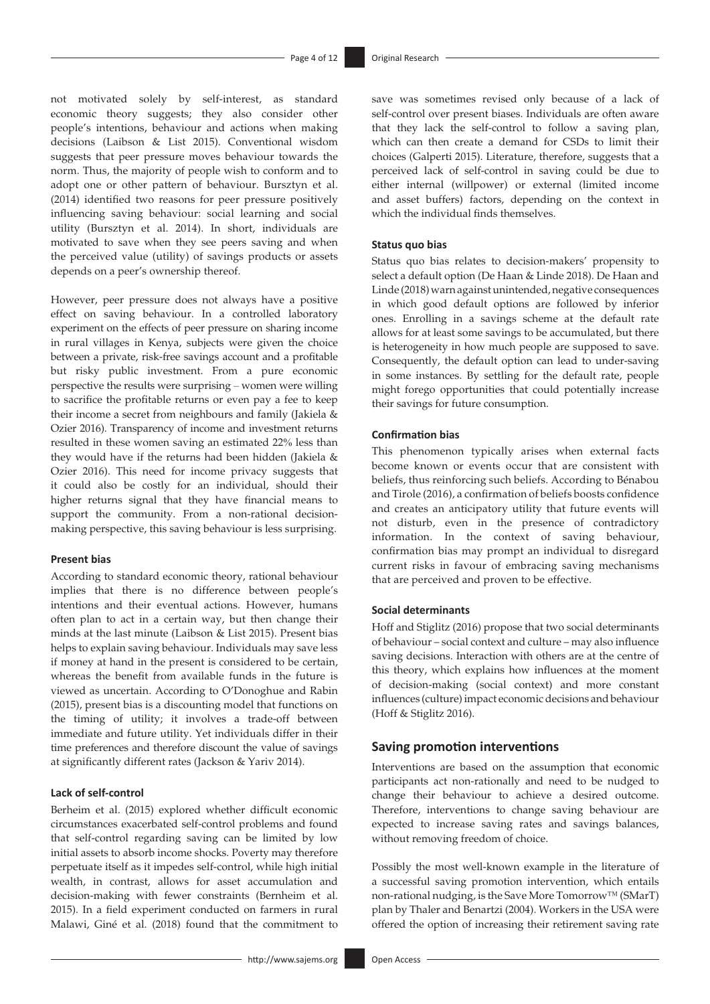not motivated solely by self-interest, as standard economic theory suggests; they also consider other people's intentions, behaviour and actions when making decisions (Laibson & List 2015). Conventional wisdom suggests that peer pressure moves behaviour towards the norm. Thus, the majority of people wish to conform and to adopt one or other pattern of behaviour. Bursztyn et al. (2014) identified two reasons for peer pressure positively influencing saving behaviour: social learning and social utility (Bursztyn et al. 2014). In short, individuals are motivated to save when they see peers saving and when the perceived value (utility) of savings products or assets depends on a peer's ownership thereof.

However, peer pressure does not always have a positive effect on saving behaviour. In a controlled laboratory experiment on the effects of peer pressure on sharing income in rural villages in Kenya, subjects were given the choice between a private, risk-free savings account and a profitable but risky public investment. From a pure economic perspective the results were surprising – women were willing to sacrifice the profitable returns or even pay a fee to keep their income a secret from neighbours and family (Jakiela & Ozier 2016). Transparency of income and investment returns resulted in these women saving an estimated 22% less than they would have if the returns had been hidden (Jakiela & Ozier 2016). This need for income privacy suggests that it could also be costly for an individual, should their higher returns signal that they have financial means to support the community. From a non-rational decisionmaking perspective, this saving behaviour is less surprising.

### **Present bias**

According to standard economic theory, rational behaviour implies that there is no difference between people's intentions and their eventual actions. However, humans often plan to act in a certain way, but then change their minds at the last minute (Laibson & List 2015). Present bias helps to explain saving behaviour. Individuals may save less if money at hand in the present is considered to be certain, whereas the benefit from available funds in the future is viewed as uncertain. According to O'Donoghue and Rabin (2015), present bias is a discounting model that functions on the timing of utility; it involves a trade-off between immediate and future utility. Yet individuals differ in their time preferences and therefore discount the value of savings at significantly different rates (Jackson & Yariv 2014).

### **Lack of self-control**

Berheim et al. (2015) explored whether difficult economic circumstances exacerbated self-control problems and found that self-control regarding saving can be limited by low initial assets to absorb income shocks. Poverty may therefore perpetuate itself as it impedes self-control, while high initial wealth, in contrast, allows for asset accumulation and decision-making with fewer constraints (Bernheim et al. 2015). In a field experiment conducted on farmers in rural Malawi, Giné et al. (2018) found that the commitment to save was sometimes revised only because of a lack of self-control over present biases. Individuals are often aware that they lack the self-control to follow a saving plan, which can then create a demand for CSDs to limit their choices (Galperti 2015). Literature, therefore, suggests that a perceived lack of self-control in saving could be due to either internal (willpower) or external (limited income and asset buffers) factors, depending on the context in which the individual finds themselves.

### **Status quo bias**

Status quo bias relates to decision-makers' propensity to select a default option (De Haan & Linde 2018). De Haan and Linde (2018) warn against unintended, negative consequences in which good default options are followed by inferior ones. Enrolling in a savings scheme at the default rate allows for at least some savings to be accumulated, but there is heterogeneity in how much people are supposed to save. Consequently, the default option can lead to under-saving in some instances. By settling for the default rate, people might forego opportunities that could potentially increase their savings for future consumption.

#### **Confirmation bias**

This phenomenon typically arises when external facts become known or events occur that are consistent with beliefs, thus reinforcing such beliefs. According to Bénabou and Tirole (2016), a confirmation of beliefs boosts confidence and creates an anticipatory utility that future events will not disturb, even in the presence of contradictory information. In the context of saving behaviour, confirmation bias may prompt an individual to disregard current risks in favour of embracing saving mechanisms that are perceived and proven to be effective.

### **Social determinants**

Hoff and Stiglitz (2016) propose that two social determinants of behaviour – social context and culture – may also influence saving decisions. Interaction with others are at the centre of this theory, which explains how influences at the moment of decision-making (social context) and more constant influences (culture) impact economic decisions and behaviour (Hoff & Stiglitz 2016).

### **Saving promotion interventions**

Interventions are based on the assumption that economic participants act non-rationally and need to be nudged to change their behaviour to achieve a desired outcome. Therefore, interventions to change saving behaviour are expected to increase saving rates and savings balances, without removing freedom of choice.

Possibly the most well-known example in the literature of a successful saving promotion intervention, which entails non-rational nudging, is the Save More Tomorrow™ (SMarT) plan by Thaler and Benartzi (2004). Workers in the USA were offered the option of increasing their retirement saving rate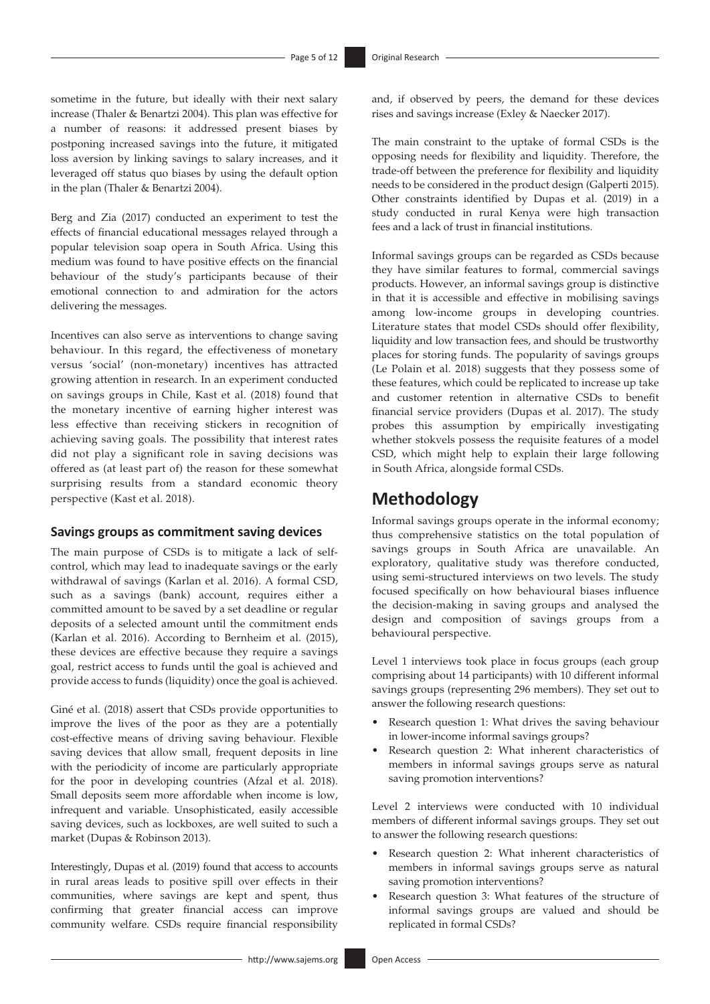sometime in the future, but ideally with their next salary increase (Thaler & Benartzi 2004). This plan was effective for a number of reasons: it addressed present biases by postponing increased savings into the future, it mitigated loss aversion by linking savings to salary increases, and it leveraged off status quo biases by using the default option in the plan (Thaler & Benartzi 2004).

Berg and Zia (2017) conducted an experiment to test the effects of financial educational messages relayed through a popular television soap opera in South Africa. Using this medium was found to have positive effects on the financial behaviour of the study's participants because of their emotional connection to and admiration for the actors delivering the messages.

Incentives can also serve as interventions to change saving behaviour. In this regard, the effectiveness of monetary versus 'social' (non-monetary) incentives has attracted growing attention in research. In an experiment conducted on savings groups in Chile, Kast et al. (2018) found that the monetary incentive of earning higher interest was less effective than receiving stickers in recognition of achieving saving goals. The possibility that interest rates did not play a significant role in saving decisions was offered as (at least part of) the reason for these somewhat surprising results from a standard economic theory perspective (Kast et al. 2018).

### **Savings groups as commitment saving devices**

The main purpose of CSDs is to mitigate a lack of selfcontrol, which may lead to inadequate savings or the early withdrawal of savings (Karlan et al. 2016). A formal CSD, such as a savings (bank) account, requires either a committed amount to be saved by a set deadline or regular deposits of a selected amount until the commitment ends (Karlan et al. 2016). According to Bernheim et al. (2015), these devices are effective because they require a savings goal, restrict access to funds until the goal is achieved and provide access to funds (liquidity) once the goal is achieved.

Giné et al. (2018) assert that CSDs provide opportunities to improve the lives of the poor as they are a potentially cost-effective means of driving saving behaviour. Flexible saving devices that allow small, frequent deposits in line with the periodicity of income are particularly appropriate for the poor in developing countries (Afzal et al. 2018). Small deposits seem more affordable when income is low, infrequent and variable. Unsophisticated, easily accessible saving devices, such as lockboxes, are well suited to such a market (Dupas & Robinson 2013).

Interestingly, Dupas et al. (2019) found that access to accounts in rural areas leads to positive spill over effects in their communities, where savings are kept and spent, thus confirming that greater financial access can improve community welfare. CSDs require financial responsibility

and, if observed by peers, the demand for these devices rises and savings increase (Exley & Naecker 2017).

The main constraint to the uptake of formal CSDs is the opposing needs for flexibility and liquidity. Therefore, the trade-off between the preference for flexibility and liquidity needs to be considered in the product design (Galperti 2015). Other constraints identified by Dupas et al. (2019) in a study conducted in rural Kenya were high transaction fees and a lack of trust in financial institutions.

Informal savings groups can be regarded as CSDs because they have similar features to formal, commercial savings products. However, an informal savings group is distinctive in that it is accessible and effective in mobilising savings among low-income groups in developing countries. Literature states that model CSDs should offer flexibility, liquidity and low transaction fees, and should be trustworthy places for storing funds. The popularity of savings groups (Le Polain et al. 2018) suggests that they possess some of these features, which could be replicated to increase up take and customer retention in alternative CSDs to benefit financial service providers (Dupas et al. 2017). The study probes this assumption by empirically investigating whether stokvels possess the requisite features of a model CSD, which might help to explain their large following in South Africa, alongside formal CSDs.

### **Methodology**

Informal savings groups operate in the informal economy; thus comprehensive statistics on the total population of savings groups in South Africa are unavailable. An exploratory, qualitative study was therefore conducted, using semi-structured interviews on two levels. The study focused specifically on how behavioural biases influence the decision-making in saving groups and analysed the design and composition of savings groups from a behavioural perspective.

Level 1 interviews took place in focus groups (each group comprising about 14 participants) with 10 different informal savings groups (representing 296 members). They set out to answer the following research questions:

- Research question 1: What drives the saving behaviour in lower-income informal savings groups?
- Research question 2: What inherent characteristics of members in informal savings groups serve as natural saving promotion interventions?

Level 2 interviews were conducted with 10 individual members of different informal savings groups. They set out to answer the following research questions:

- Research question 2: What inherent characteristics of members in informal savings groups serve as natural saving promotion interventions?
- Research question 3: What features of the structure of informal savings groups are valued and should be replicated in formal CSDs?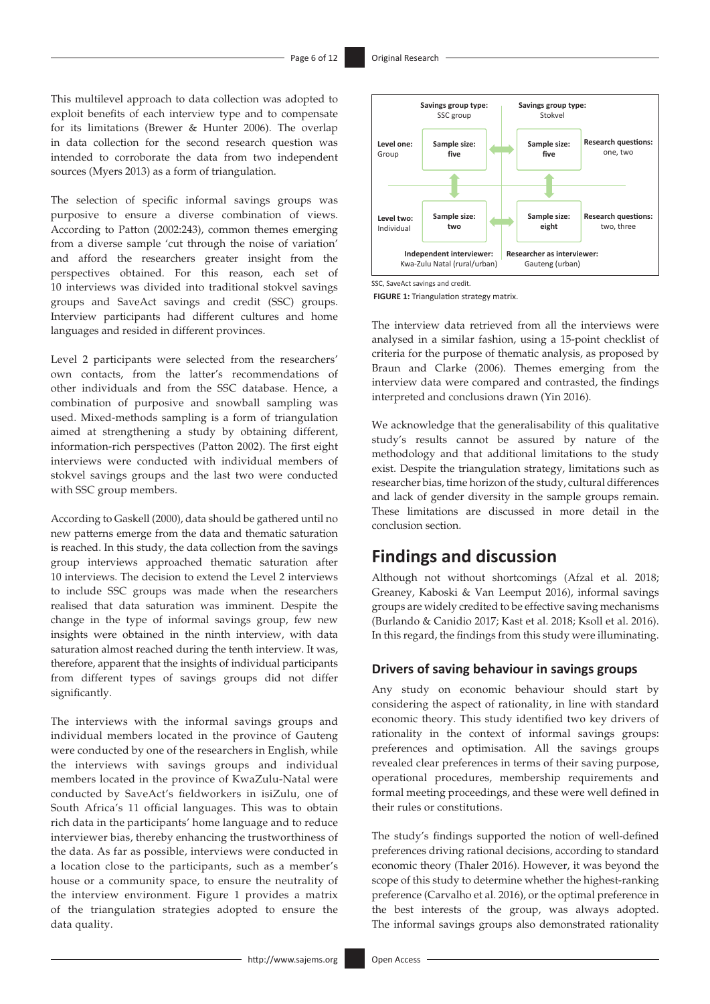This multilevel approach to data collection was adopted to exploit benefits of each interview type and to compensate for its limitations (Brewer & Hunter 2006). The overlap in data collection for the second research question was intended to corroborate the data from two independent sources (Myers 2013) as a form of triangulation.

The selection of specific informal savings groups was purposive to ensure a diverse combination of views. According to Patton (2002:243), common themes emerging from a diverse sample 'cut through the noise of variation' and afford the researchers greater insight from the perspectives obtained. For this reason, each set of 10 interviews was divided into traditional stokvel savings groups and SaveAct savings and credit (SSC) groups. Interview participants had different cultures and home languages and resided in different provinces.

Level 2 participants were selected from the researchers' own contacts, from the latter's recommendations of other individuals and from the SSC database. Hence, a combination of purposive and snowball sampling was used. Mixed-methods sampling is a form of triangulation aimed at strengthening a study by obtaining different, information-rich perspectives (Patton 2002). The first eight interviews were conducted with individual members of stokvel savings groups and the last two were conducted with SSC group members.

According to Gaskell (2000), data should be gathered until no new patterns emerge from the data and thematic saturation is reached. In this study, the data collection from the savings group interviews approached thematic saturation after 10 interviews. The decision to extend the Level 2 interviews to include SSC groups was made when the researchers realised that data saturation was imminent. Despite the change in the type of informal savings group, few new insights were obtained in the ninth interview, with data saturation almost reached during the tenth interview. It was, therefore, apparent that the insights of individual participants from different types of savings groups did not differ significantly.

The interviews with the informal savings groups and individual members located in the province of Gauteng were conducted by one of the researchers in English, while the interviews with savings groups and individual members located in the province of KwaZulu-Natal were conducted by SaveAct's fieldworkers in isiZulu, one of South Africa's 11 official languages. This was to obtain rich data in the participants' home language and to reduce interviewer bias, thereby enhancing the trustworthiness of the data. As far as possible, interviews were conducted in a location close to the participants, such as a member's house or a community space, to ensure the neutrality of the interview environment. Figure 1 provides a matrix of the triangulation strategies adopted to ensure the data quality.



SSC, SaveAct savings and credit.

**FIGURE 1:** Triangulation strategy matrix.

The interview data retrieved from all the interviews were analysed in a similar fashion, using a 15-point checklist of criteria for the purpose of thematic analysis, as proposed by Braun and Clarke (2006). Themes emerging from the interview data were compared and contrasted, the findings interpreted and conclusions drawn (Yin 2016).

We acknowledge that the generalisability of this qualitative study's results cannot be assured by nature of the methodology and that additional limitations to the study exist. Despite the triangulation strategy, limitations such as researcher bias, time horizon of the study, cultural differences and lack of gender diversity in the sample groups remain. These limitations are discussed in more detail in the conclusion section.

# **Findings and discussion**

Although not without shortcomings (Afzal et al. 2018; Greaney, Kaboski & Van Leemput 2016), informal savings groups are widely credited to be effective saving mechanisms (Burlando & Canidio 2017; Kast et al. 2018; Ksoll et al. 2016). In this regard, the findings from this study were illuminating.

### **Drivers of saving behaviour in savings groups**

Any study on economic behaviour should start by considering the aspect of rationality, in line with standard economic theory. This study identified two key drivers of rationality in the context of informal savings groups: preferences and optimisation. All the savings groups revealed clear preferences in terms of their saving purpose, operational procedures, membership requirements and formal meeting proceedings, and these were well defined in their rules or constitutions.

The study's findings supported the notion of well-defined preferences driving rational decisions, according to standard economic theory (Thaler 2016). However, it was beyond the scope of this study to determine whether the highest-ranking preference (Carvalho et al. 2016), or the optimal preference in the best interests of the group, was always adopted. The informal savings groups also demonstrated rationality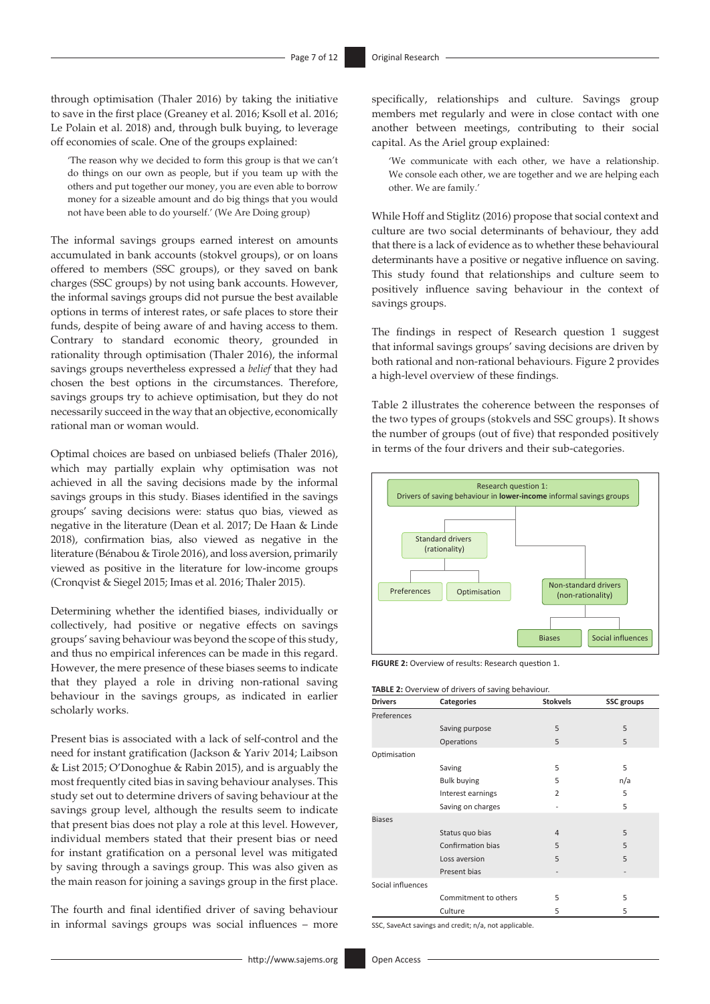through optimisation (Thaler 2016) by taking the initiative to save in the first place (Greaney et al. 2016; Ksoll et al. 2016; Le Polain et al. 2018) and, through bulk buying, to leverage off economies of scale. One of the groups explained:

'The reason why we decided to form this group is that we can't do things on our own as people, but if you team up with the others and put together our money, you are even able to borrow money for a sizeable amount and do big things that you would not have been able to do yourself.' (We Are Doing group)

The informal savings groups earned interest on amounts accumulated in bank accounts (stokvel groups), or on loans offered to members (SSC groups), or they saved on bank charges (SSC groups) by not using bank accounts. However, the informal savings groups did not pursue the best available options in terms of interest rates, or safe places to store their funds, despite of being aware of and having access to them. Contrary to standard economic theory, grounded in rationality through optimisation (Thaler 2016), the informal savings groups nevertheless expressed a *belief* that they had chosen the best options in the circumstances. Therefore, savings groups try to achieve optimisation, but they do not necessarily succeed in the way that an objective, economically rational man or woman would.

Optimal choices are based on unbiased beliefs (Thaler 2016), which may partially explain why optimisation was not achieved in all the saving decisions made by the informal savings groups in this study. Biases identified in the savings groups' saving decisions were: status quo bias, viewed as negative in the literature (Dean et al. 2017; De Haan & Linde 2018), confirmation bias, also viewed as negative in the literature (Bénabou & Tirole 2016), and loss aversion, primarily viewed as positive in the literature for low-income groups (Cronqvist & Siegel 2015; Imas et al. 2016; Thaler 2015).

Determining whether the identified biases, individually or collectively, had positive or negative effects on savings groups' saving behaviour was beyond the scope of this study, and thus no empirical inferences can be made in this regard. However, the mere presence of these biases seems to indicate that they played a role in driving non-rational saving behaviour in the savings groups, as indicated in earlier scholarly works.

Present bias is associated with a lack of self-control and the need for instant gratification (Jackson & Yariv 2014; Laibson & List 2015; O'Donoghue & Rabin 2015), and is arguably the most frequently cited bias in saving behaviour analyses. This study set out to determine drivers of saving behaviour at the savings group level, although the results seem to indicate that present bias does not play a role at this level. However, individual members stated that their present bias or need for instant gratification on a personal level was mitigated by saving through a savings group. This was also given as the main reason for joining a savings group in the first place.

The fourth and final identified driver of saving behaviour in informal savings groups was social influences – more

specifically, relationships and culture. Savings group members met regularly and were in close contact with one another between meetings, contributing to their social capital. As the Ariel group explained:

'We communicate with each other, we have a relationship. We console each other, we are together and we are helping each other. We are family.'

While Hoff and Stiglitz (2016) propose that social context and culture are two social determinants of behaviour, they add that there is a lack of evidence as to whether these behavioural determinants have a positive or negative influence on saving. This study found that relationships and culture seem to positively influence saving behaviour in the context of savings groups.

The findings in respect of Research question 1 suggest that informal savings groups' saving decisions are driven by both rational and non-rational behaviours. Figure 2 provides a high-level overview of these findings.

Table 2 illustrates the coherence between the responses of the two types of groups (stokvels and SSC groups). It shows the number of groups (out of five) that responded positively in terms of the four drivers and their sub-categories.



**FIGURE 2:** Overview of results: Research question 1.

|  | TABLE 2: Overview of drivers of saving behaviour. |  |
|--|---------------------------------------------------|--|
|  |                                                   |  |

| <b>Drivers</b>    | <b>Categories</b>    | <b>Stokvels</b> | <b>SSC</b> groups |
|-------------------|----------------------|-----------------|-------------------|
| Preferences       |                      |                 |                   |
|                   | Saving purpose       | 5               | 5                 |
|                   | Operations           | 5               | 5                 |
| Optimisation      |                      |                 |                   |
|                   | Saving               | 5               | 5                 |
|                   | <b>Bulk buying</b>   | 5               | n/a               |
|                   | Interest earnings    | $\overline{2}$  | 5                 |
|                   | Saving on charges    |                 | 5                 |
| <b>Biases</b>     |                      |                 |                   |
|                   | Status quo bias      | $\overline{4}$  | 5                 |
|                   | Confirmation bias    | 5               | 5                 |
|                   | Loss aversion        | 5               | 5                 |
|                   | Present bias         |                 |                   |
| Social influences |                      |                 |                   |
|                   | Commitment to others | 5               | 5                 |
|                   | Culture              | 5               | 5                 |

SSC, SaveAct savings and credit; n/a, not applicable.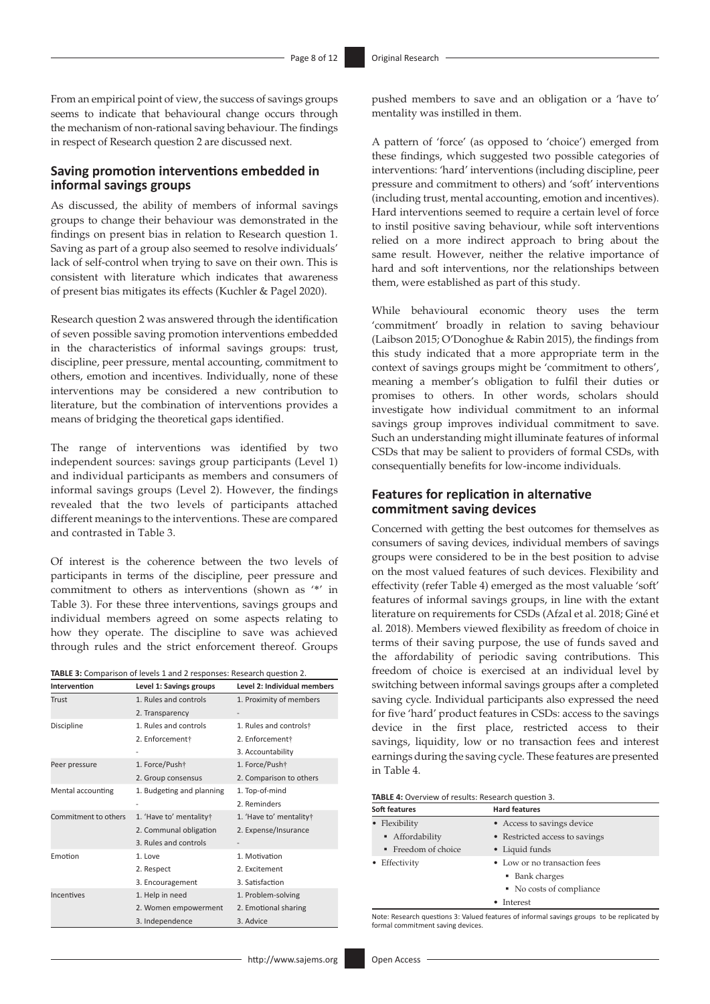From an empirical point of view, the success of savings groups seems to indicate that behavioural change occurs through the mechanism of non-rational saving behaviour. The findings in respect of Research question 2 are discussed next.

### **Saving promotion interventions embedded in informal savings groups**

As discussed, the ability of members of informal savings groups to change their behaviour was demonstrated in the findings on present bias in relation to Research question 1. Saving as part of a group also seemed to resolve individuals' lack of self-control when trying to save on their own. This is consistent with literature which indicates that awareness of present bias mitigates its effects (Kuchler & Pagel 2020).

Research question 2 was answered through the identification of seven possible saving promotion interventions embedded in the characteristics of informal savings groups: trust, discipline, peer pressure, mental accounting, commitment to others, emotion and incentives. Individually, none of these interventions may be considered a new contribution to literature, but the combination of interventions provides a means of bridging the theoretical gaps identified.

The range of interventions was identified by two independent sources: savings group participants (Level 1) and individual participants as members and consumers of informal savings groups (Level 2). However, the findings revealed that the two levels of participants attached different meanings to the interventions. These are compared and contrasted in Table 3.

Of interest is the coherence between the two levels of participants in terms of the discipline, peer pressure and commitment to others as interventions (shown as '\*' in Table 3). For these three interventions, savings groups and individual members agreed on some aspects relating to how they operate. The discipline to save was achieved through rules and the strict enforcement thereof. Groups

| TABLE 3: Comparison of levels 1 and 2 responses: Research question 2. |  |
|-----------------------------------------------------------------------|--|
|-----------------------------------------------------------------------|--|

| Intervention         | Level 1: Savings groups   | Level 2: Individual members |  |  |
|----------------------|---------------------------|-----------------------------|--|--|
| Trust                | 1. Rules and controls     | 1. Proximity of members     |  |  |
|                      | 2. Transparency           |                             |  |  |
| Discipline           | 1. Rules and controls     | 1. Rules and controls†      |  |  |
|                      | 2. Enforcement†           | 2. Enforcement†             |  |  |
|                      |                           | 3. Accountability           |  |  |
| Peer pressure        | 1. Force/Push†            | 1. Force/Pusht              |  |  |
|                      | 2. Group consensus        | 2. Comparison to others     |  |  |
| Mental accounting    | 1. Budgeting and planning | 1. Top-of-mind              |  |  |
|                      |                           | 2. Reminders                |  |  |
| Commitment to others | 1. 'Have to' mentality†   | 1. 'Have to' mentality†     |  |  |
|                      | 2. Communal obligation    | 2. Expense/Insurance        |  |  |
|                      | 3. Rules and controls     |                             |  |  |
| Emotion              | 1. Love                   | 1. Motivation               |  |  |
|                      | 2. Respect                | 2. Excitement               |  |  |
|                      | 3. Encouragement          | 3. Satisfaction             |  |  |
| Incentives           | 1. Help in need           | 1. Problem-solving          |  |  |
|                      | 2. Women empowerment      | 2. Emotional sharing        |  |  |
|                      | 3. Independence           | 3. Advice                   |  |  |

pushed members to save and an obligation or a 'have to' mentality was instilled in them.

A pattern of 'force' (as opposed to 'choice') emerged from these findings, which suggested two possible categories of interventions: 'hard' interventions (including discipline, peer pressure and commitment to others) and 'soft' interventions (including trust, mental accounting, emotion and incentives). Hard interventions seemed to require a certain level of force to instil positive saving behaviour, while soft interventions relied on a more indirect approach to bring about the same result. However, neither the relative importance of hard and soft interventions, nor the relationships between them, were established as part of this study.

While behavioural economic theory uses the term 'commitment' broadly in relation to saving behaviour (Laibson 2015; O'Donoghue & Rabin 2015), the findings from this study indicated that a more appropriate term in the context of savings groups might be 'commitment to others', meaning a member's obligation to fulfil their duties or promises to others. In other words, scholars should investigate how individual commitment to an informal savings group improves individual commitment to save. Such an understanding might illuminate features of informal CSDs that may be salient to providers of formal CSDs, with consequentially benefits for low-income individuals.

### **Features for replication in alternative commitment saving devices**

Concerned with getting the best outcomes for themselves as consumers of saving devices, individual members of savings groups were considered to be in the best position to advise on the most valued features of such devices. Flexibility and effectivity (refer Table 4) emerged as the most valuable 'soft' features of informal savings groups, in line with the extant literature on requirements for CSDs (Afzal et al. 2018; Giné et al. 2018). Members viewed flexibility as freedom of choice in terms of their saving purpose, the use of funds saved and the affordability of periodic saving contributions. This freedom of choice is exercised at an individual level by switching between informal savings groups after a completed saving cycle. Individual participants also expressed the need for five 'hard' product features in CSDs: access to the savings device in the first place, restricted access to their savings, liquidity, low or no transaction fees and interest earnings during the saving cycle. These features are presented in Table 4.

| TABLE 4: Overview of results: Research question 3. |  |  |  |
|----------------------------------------------------|--|--|--|
|                                                    |  |  |  |

| <b>Hard features</b>           |
|--------------------------------|
| • Access to savings device     |
| • Restricted access to savings |
| • Liquid funds                 |
| • Low or no transaction fees   |
| • Bank charges                 |
| • No costs of compliance       |
| Interest                       |
|                                |

Note: Research questions 3: Valued features of informal savings groups to be replicated by formal commitment saving devices.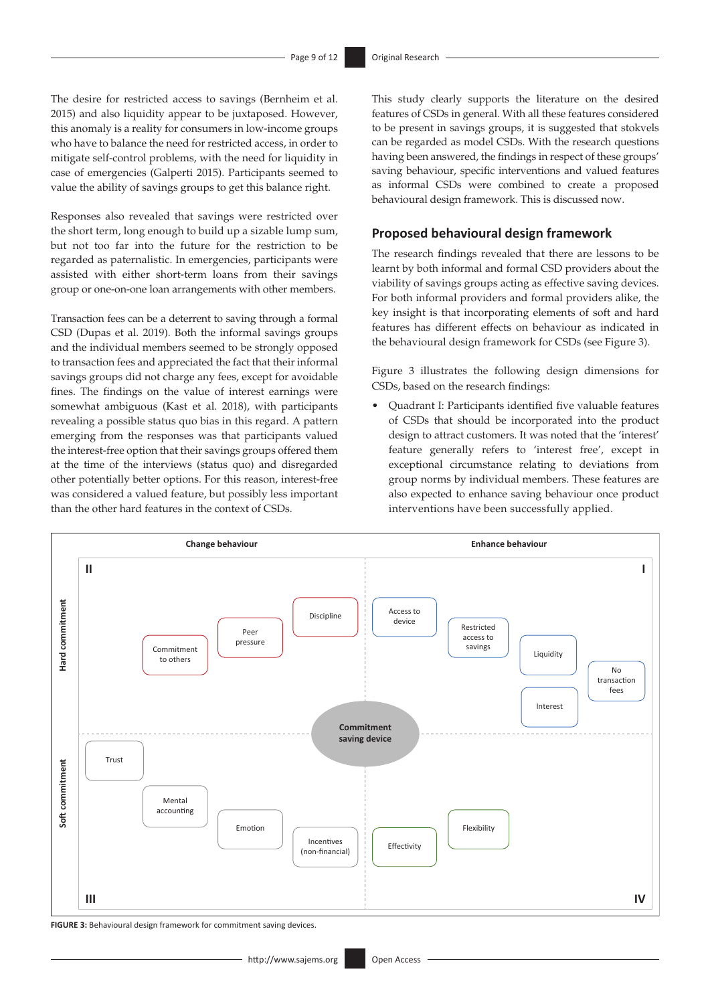The desire for restricted access to savings (Bernheim et al. 2015) and also liquidity appear to be juxtaposed. However, this anomaly is a reality for consumers in low-income groups who have to balance the need for restricted access, in order to mitigate self-control problems, with the need for liquidity in case of emergencies (Galperti 2015). Participants seemed to value the ability of savings groups to get this balance right.

Responses also revealed that savings were restricted over the short term, long enough to build up a sizable lump sum, but not too far into the future for the restriction to be regarded as paternalistic. In emergencies, participants were assisted with either short-term loans from their savings group or one-on-one loan arrangements with other members.

Transaction fees can be a deterrent to saving through a formal CSD (Dupas et al. 2019). Both the informal savings groups and the individual members seemed to be strongly opposed to transaction fees and appreciated the fact that their informal savings groups did not charge any fees, except for avoidable fines. The findings on the value of interest earnings were somewhat ambiguous (Kast et al. 2018), with participants revealing a possible status quo bias in this regard. A pattern emerging from the responses was that participants valued the interest-free option that their savings groups offered them at the time of the interviews (status quo) and disregarded other potentially better options. For this reason, interest-free was considered a valued feature, but possibly less important than the other hard features in the context of CSDs.

This study clearly supports the literature on the desired features of CSDs in general. With all these features considered to be present in savings groups, it is suggested that stokvels can be regarded as model CSDs. With the research questions having been answered, the findings in respect of these groups' saving behaviour, specific interventions and valued features as informal CSDs were combined to create a proposed behavioural design framework. This is discussed now.

### **Proposed behavioural design framework**

The research findings revealed that there are lessons to be learnt by both informal and formal CSD providers about the viability of savings groups acting as effective saving devices. For both informal providers and formal providers alike, the key insight is that incorporating elements of soft and hard features has different effects on behaviour as indicated in the behavioural design framework for CSDs (see Figure 3).

Figure 3 illustrates the following design dimensions for CSDs, based on the research findings:

• Quadrant I: Participants identified five valuable features of CSDs that should be incorporated into the product design to attract customers. It was noted that the 'interest' feature generally refers to 'interest free', except in exceptional circumstance relating to deviations from group norms by individual members. These features are also expected to enhance saving behaviour once product interventions have been successfully applied.



**FIGURE 3:** Behavioural design framework for commitment saving devices.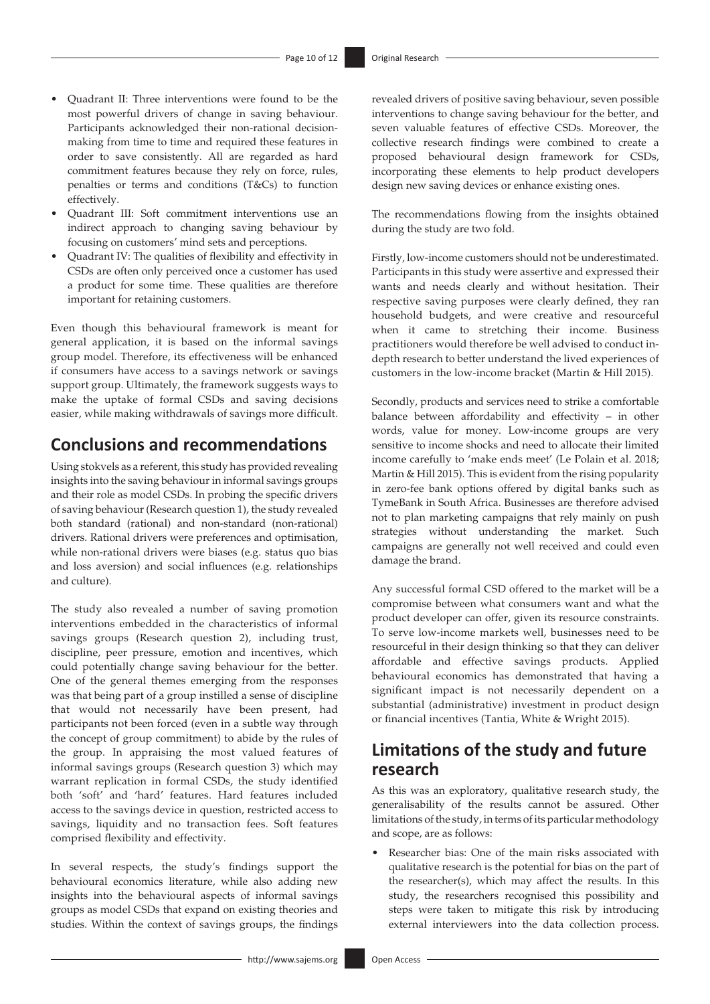- Quadrant II: Three interventions were found to be the most powerful drivers of change in saving behaviour. Participants acknowledged their non-rational decisionmaking from time to time and required these features in order to save consistently. All are regarded as hard commitment features because they rely on force, rules, penalties or terms and conditions (T&Cs) to function effectively.
- Quadrant III: Soft commitment interventions use an indirect approach to changing saving behaviour by focusing on customers' mind sets and perceptions.
- Quadrant IV: The qualities of flexibility and effectivity in CSDs are often only perceived once a customer has used a product for some time. These qualities are therefore important for retaining customers.

Even though this behavioural framework is meant for general application, it is based on the informal savings group model. Therefore, its effectiveness will be enhanced if consumers have access to a savings network or savings support group. Ultimately, the framework suggests ways to make the uptake of formal CSDs and saving decisions easier, while making withdrawals of savings more difficult.

## **Conclusions and recommendations**

Using stokvels as a referent, this study has provided revealing insights into the saving behaviour in informal savings groups and their role as model CSDs. In probing the specific drivers of saving behaviour (Research question 1), the study revealed both standard (rational) and non-standard (non-rational) drivers. Rational drivers were preferences and optimisation, while non-rational drivers were biases (e.g. status quo bias and loss aversion) and social influences (e.g. relationships and culture).

The study also revealed a number of saving promotion interventions embedded in the characteristics of informal savings groups (Research question 2), including trust, discipline, peer pressure, emotion and incentives, which could potentially change saving behaviour for the better. One of the general themes emerging from the responses was that being part of a group instilled a sense of discipline that would not necessarily have been present, had participants not been forced (even in a subtle way through the concept of group commitment) to abide by the rules of the group. In appraising the most valued features of informal savings groups (Research question 3) which may warrant replication in formal CSDs, the study identified both 'soft' and 'hard' features. Hard features included access to the savings device in question, restricted access to savings, liquidity and no transaction fees. Soft features comprised flexibility and effectivity.

In several respects, the study's findings support the behavioural economics literature, while also adding new insights into the behavioural aspects of informal savings groups as model CSDs that expand on existing theories and studies. Within the context of savings groups, the findings

revealed drivers of positive saving behaviour, seven possible interventions to change saving behaviour for the better, and seven valuable features of effective CSDs. Moreover, the collective research findings were combined to create a proposed behavioural design framework for CSDs, incorporating these elements to help product developers design new saving devices or enhance existing ones.

The recommendations flowing from the insights obtained during the study are two fold.

Firstly, low-income customers should not be underestimated*.* Participants in this study were assertive and expressed their wants and needs clearly and without hesitation. Their respective saving purposes were clearly defined, they ran household budgets, and were creative and resourceful when it came to stretching their income. Business practitioners would therefore be well advised to conduct indepth research to better understand the lived experiences of customers in the low-income bracket (Martin & Hill 2015).

Secondly, products and services need to strike a comfortable balance between affordability and effectivity – in other words, value for money. Low-income groups are very sensitive to income shocks and need to allocate their limited income carefully to 'make ends meet' (Le Polain et al. 2018; Martin & Hill 2015). This is evident from the rising popularity in zero-fee bank options offered by digital banks such as TymeBank in South Africa. Businesses are therefore advised not to plan marketing campaigns that rely mainly on push strategies without understanding the market. Such campaigns are generally not well received and could even damage the brand.

Any successful formal CSD offered to the market will be a compromise between what consumers want and what the product developer can offer, given its resource constraints. To serve low-income markets well, businesses need to be resourceful in their design thinking so that they can deliver affordable and effective savings products. Applied behavioural economics has demonstrated that having a significant impact is not necessarily dependent on a substantial (administrative) investment in product design or financial incentives (Tantia, White & Wright 2015).

# **Limitations of the study and future research**

As this was an exploratory, qualitative research study, the generalisability of the results cannot be assured. Other limitations of the study, in terms of its particular methodology and scope, are as follows:

Researcher bias: One of the main risks associated with qualitative research is the potential for bias on the part of the researcher(s), which may affect the results. In this study, the researchers recognised this possibility and steps were taken to mitigate this risk by introducing external interviewers into the data collection process.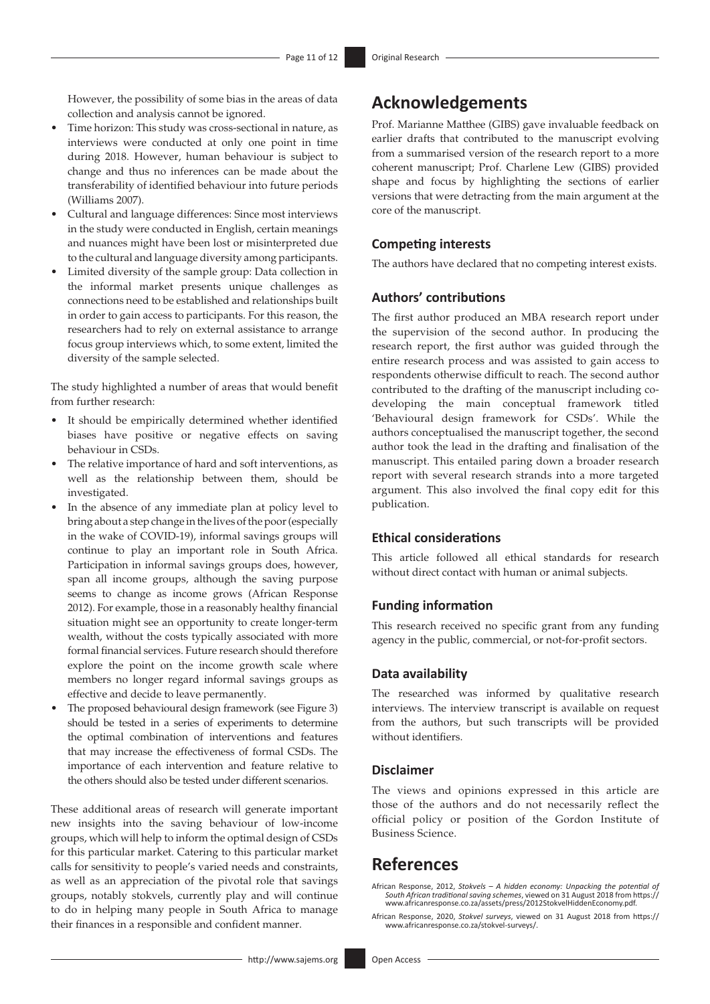However, the possibility of some bias in the areas of data collection and analysis cannot be ignored.

- Time horizon: This study was cross-sectional in nature, as interviews were conducted at only one point in time during 2018. However, human behaviour is subject to change and thus no inferences can be made about the transferability of identified behaviour into future periods (Williams 2007).
- Cultural and language differences: Since most interviews in the study were conducted in English, certain meanings and nuances might have been lost or misinterpreted due to the cultural and language diversity among participants.
- Limited diversity of the sample group: Data collection in the informal market presents unique challenges as connections need to be established and relationships built in order to gain access to participants. For this reason, the researchers had to rely on external assistance to arrange focus group interviews which, to some extent, limited the diversity of the sample selected.

The study highlighted a number of areas that would benefit from further research:

- It should be empirically determined whether identified biases have positive or negative effects on saving behaviour in CSDs.
- The relative importance of hard and soft interventions, as well as the relationship between them, should be investigated.
- In the absence of any immediate plan at policy level to bring about a step change in the lives of the poor (especially in the wake of COVID-19), informal savings groups will continue to play an important role in South Africa. Participation in informal savings groups does, however, span all income groups, although the saving purpose seems to change as income grows (African Response 2012). For example, those in a reasonably healthy financial situation might see an opportunity to create longer-term wealth, without the costs typically associated with more formal financial services. Future research should therefore explore the point on the income growth scale where members no longer regard informal savings groups as effective and decide to leave permanently.
- The proposed behavioural design framework (see Figure 3) should be tested in a series of experiments to determine the optimal combination of interventions and features that may increase the effectiveness of formal CSDs. The importance of each intervention and feature relative to the others should also be tested under different scenarios.

These additional areas of research will generate important new insights into the saving behaviour of low-income groups, which will help to inform the optimal design of CSDs for this particular market. Catering to this particular market calls for sensitivity to people's varied needs and constraints, as well as an appreciation of the pivotal role that savings groups, notably stokvels, currently play and will continue to do in helping many people in South Africa to manage their finances in a responsible and confident manner.

# **Acknowledgements**

Prof. Marianne Matthee (GIBS) gave invaluable feedback on earlier drafts that contributed to the manuscript evolving from a summarised version of the research report to a more coherent manuscript; Prof. Charlene Lew (GIBS) provided shape and focus by highlighting the sections of earlier versions that were detracting from the main argument at the core of the manuscript.

### **Competing interests**

The authors have declared that no competing interest exists.

### **Authors' contributions**

The first author produced an MBA research report under the supervision of the second author. In producing the research report, the first author was guided through the entire research process and was assisted to gain access to respondents otherwise difficult to reach. The second author contributed to the drafting of the manuscript including codeveloping the main conceptual framework titled 'Behavioural design framework for CSDs'. While the authors conceptualised the manuscript together, the second author took the lead in the drafting and finalisation of the manuscript. This entailed paring down a broader research report with several research strands into a more targeted argument. This also involved the final copy edit for this publication.

### **Ethical considerations**

This article followed all ethical standards for research without direct contact with human or animal subjects.

### **Funding information**

This research received no specific grant from any funding agency in the public, commercial, or not-for-profit sectors.

### **Data availability**

The researched was informed by qualitative research interviews. The interview transcript is available on request from the authors, but such transcripts will be provided without identifiers.

### **Disclaimer**

The views and opinions expressed in this article are those of the authors and do not necessarily reflect the official policy or position of the Gordon Institute of Business Science.

# **References**

African Response, 2012, Stokvels - A hidden economy: Unpacking the potential of<br>South African traditional saving schemes, viewed on 31 August 2018 from [https://](https://www.africanresponse.co.za/assets/press/2012StokvelHiddenEconomy.pdf)<br>www.africanresponse.co.za/assets/press/2012StokvelHiddenEcono

African Response, 2020, *Stokvel surveys*, viewed on 31 August 2018 from [https://](https://www.africanresponse.co.za/stokvel-surveys/) [www.africanresponse.co.za/stokvel-surveys/.](https://www.africanresponse.co.za/stokvel-surveys/)